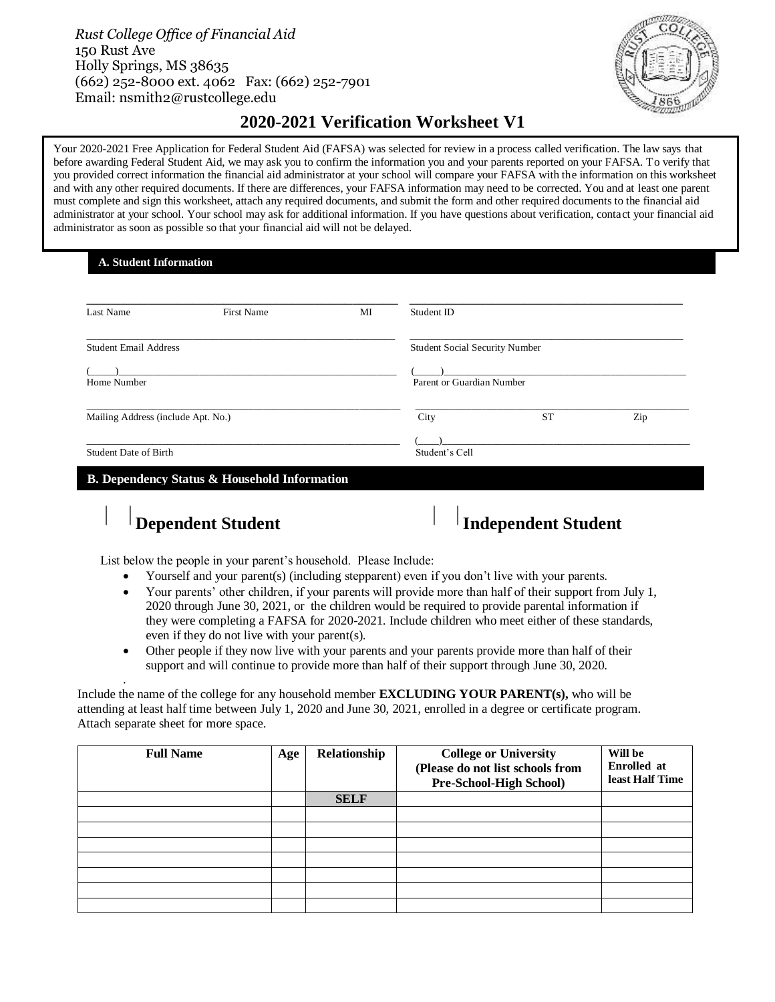*Rust College Office of Financial Aid* 150 Rust Ave Holly Springs, MS 38635 (662) 252-8000 ext. 4062 Fax: (662) 252-7901 Email: nsmith2@rustcollege.edu



## **2020-2021 Verification Worksheet V1**

Your 2020-2021 Free Application for Federal Student Aid (FAFSA) was selected for review in a process called verification. The law says that before awarding Federal Student Aid, we may ask you to confirm the information you and your parents reported on your FAFSA. To verify that you provided correct information the financial aid administrator at your school will compare your FAFSA with the information on this worksheet and with any other required documents. If there are differences, your FAFSA information may need to be corrected. You and at least one parent must complete and sign this worksheet, attach any required documents, and submit the form and other required documents to the financial aid administrator at your school. Your school may ask for additional information. If you have questions about verification, contact your financial aid administrator as soon as possible so that your financial aid will not be delayed.

**A. Student Information**

֦

| Last Name                          | <b>First Name</b> | MI                        | Student ID                     |           |     |
|------------------------------------|-------------------|---------------------------|--------------------------------|-----------|-----|
| <b>Student Email Address</b>       |                   |                           | Student Social Security Number |           |     |
|                                    |                   |                           |                                |           |     |
| Home Number                        |                   | Parent or Guardian Number |                                |           |     |
| Mailing Address (include Apt. No.) |                   |                           | City                           | <b>ST</b> | Zip |
|                                    |                   |                           |                                |           |     |
|                                    |                   |                           | Student's Cell                 |           |     |

.

# **Dependent Student Independent Student**

List below the people in your parent's household. Please Include:

- Yourself and your parent(s) (including stepparent) even if you don't live with your parents.
- Your parents' other children, if your parents will provide more than half of their support from July 1, 2020 through June 30, 2021, or the children would be required to provide parental information if they were completing a FAFSA for 2020-2021. Include children who meet either of these standards, even if they do not live with your parent(s).
- Other people if they now live with your parents and your parents provide more than half of their support and will continue to provide more than half of their support through June 30, 2020.

Include the name of the college for any household member **EXCLUDING YOUR PARENT(s),** who will be attending at least half time between July 1, 2020 and June 30, 2021, enrolled in a degree or certificate program. Attach separate sheet for more space.

| <b>Full Name</b> | Age | Relationship | <b>College or University</b><br>(Please do not list schools from<br>Pre-School-High School) | Will be<br><b>Enrolled</b> at<br>least Half Time |
|------------------|-----|--------------|---------------------------------------------------------------------------------------------|--------------------------------------------------|
|                  |     | <b>SELF</b>  |                                                                                             |                                                  |
|                  |     |              |                                                                                             |                                                  |
|                  |     |              |                                                                                             |                                                  |
|                  |     |              |                                                                                             |                                                  |
|                  |     |              |                                                                                             |                                                  |
|                  |     |              |                                                                                             |                                                  |
|                  |     |              |                                                                                             |                                                  |
|                  |     |              |                                                                                             |                                                  |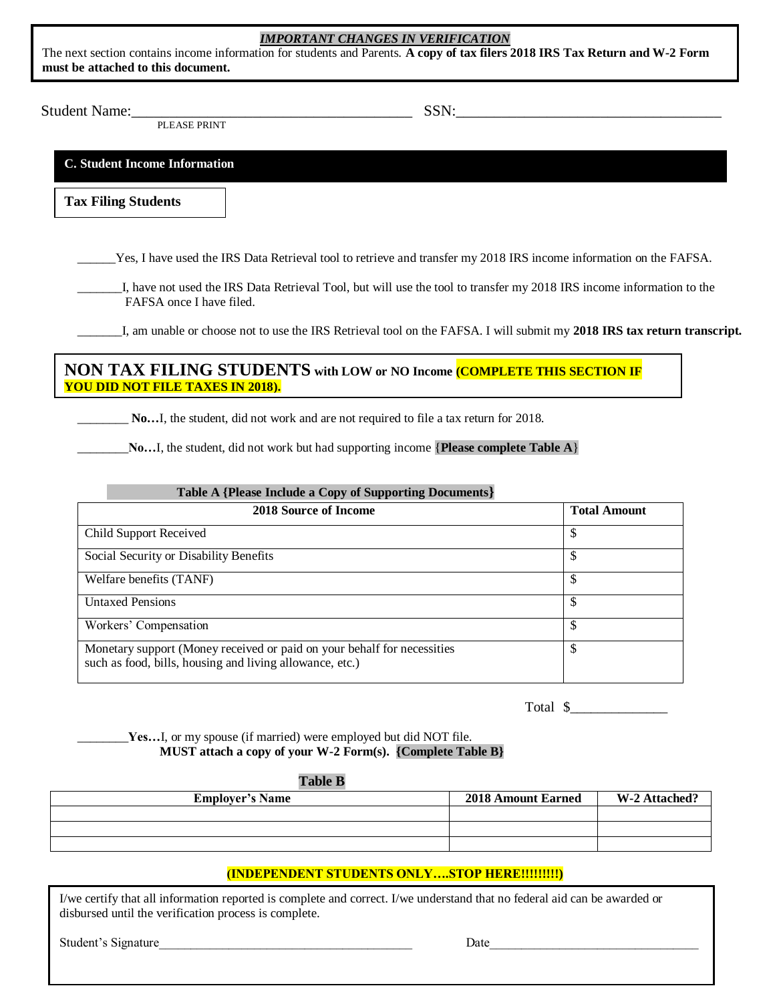#### *IMPORTANT CHANGES IN VERIFICATION*

The next section contains income information for students and Parents. **A copy of tax filers 2018 IRS Tax Return and W-2 Form must be attached to this document.** 

Student Name: <u>SSN:</u>

PLEASE PRINT

**C. Student Income Information**

**Tax Filing Students**

\_\_\_\_\_\_Yes, I have used the IRS Data Retrieval tool to retrieve and transfer my 2018 IRS income information on the FAFSA.

I, have not used the IRS Data Retrieval Tool, but will use the tool to transfer my 2018 IRS income information to the FAFSA once I have filed.

\_\_\_\_\_\_\_I, am unable or choose not to use the IRS Retrieval tool on the FAFSA. I will submit my **2018 IRS tax return transcript.**

## **NON TAX FILING STUDENTS with LOW or NO Income (COMPLETE THIS SECTION IF YOU DID NOT FILE TAXES IN 2018).**

\_\_\_\_\_\_\_\_ **No…**I, the student, did not work and are not required to file a tax return for 2018.

No...I, the student, did not work but had supporting income {**Please complete Table A**}

| Table A {Please Include a Copy of Supporting Documents}                                                                             |                     |  |
|-------------------------------------------------------------------------------------------------------------------------------------|---------------------|--|
| <b>2018 Source of Income</b>                                                                                                        | <b>Total Amount</b> |  |
| <b>Child Support Received</b>                                                                                                       |                     |  |
| Social Security or Disability Benefits                                                                                              |                     |  |
| Welfare benefits (TANF)                                                                                                             |                     |  |
| <b>Untaxed Pensions</b>                                                                                                             | J                   |  |
| Workers' Compensation                                                                                                               | \$                  |  |
| Monetary support (Money received or paid on your behalf for necessities<br>such as food, bills, housing and living allowance, etc.) |                     |  |

Total \$

\_\_\_\_\_\_\_\_**Yes…**I, or my spouse (if married) were employed but did NOT file. **MUST attach a copy of your W-2 Form(s). {Complete Table B}**

#### **Table B**

| <b>Employer's Name</b> | <b>2018 Amount Earned</b> | W-2 Attached? |
|------------------------|---------------------------|---------------|
|                        |                           |               |
|                        |                           |               |
|                        |                           |               |

## **(INDEPENDENT STUDENTS ONLY….STOP HERE!!!!!!!!!)**

I/we certify that all information reported is complete and correct. I/we understand that no federal aid can be awarded or disbursed until the verification process is complete.

Student's Signature Later and the set of the set of the set of the set of the set of the set of the set of the set of the set of the set of the set of the set of the set of the set of the set of the set of the set of the s